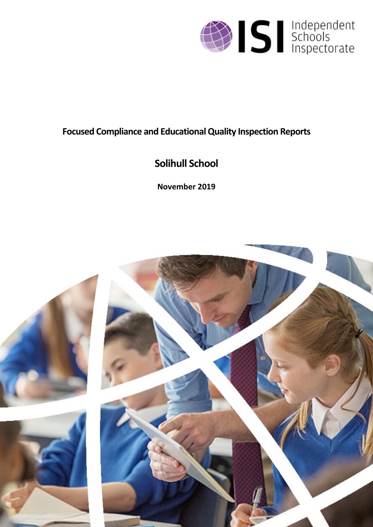

# **Focused Compliance and EducationalQuality Inspection Reports**

# **Solihull School**

**November 2019**

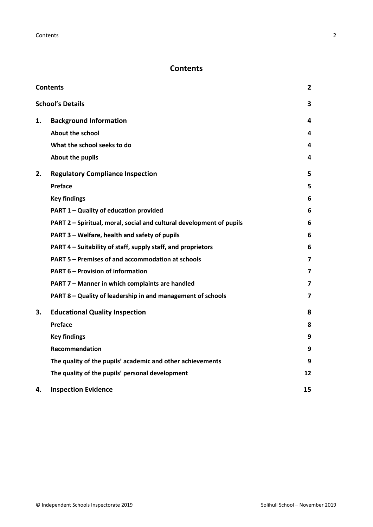# <span id="page-1-0"></span>**Contents**

| <b>Contents</b> |                                                                      |    |
|-----------------|----------------------------------------------------------------------|----|
|                 | <b>School's Details</b>                                              | 3  |
| 1.              | <b>Background Information</b>                                        | 4  |
|                 | <b>About the school</b>                                              | 4  |
|                 | What the school seeks to do                                          | 4  |
|                 | <b>About the pupils</b>                                              | 4  |
| 2.              | <b>Regulatory Compliance Inspection</b>                              | 5  |
|                 | Preface                                                              | 5  |
|                 | <b>Key findings</b>                                                  | 6  |
|                 | PART 1 - Quality of education provided                               | 6  |
|                 | PART 2 - Spiritual, moral, social and cultural development of pupils | 6  |
|                 | PART 3 - Welfare, health and safety of pupils                        | 6  |
|                 | PART 4 – Suitability of staff, supply staff, and proprietors         | 6  |
|                 | PART 5 - Premises of and accommodation at schools                    | 7  |
|                 | <b>PART 6 - Provision of information</b>                             | 7  |
|                 | PART 7 - Manner in which complaints are handled                      | 7  |
|                 | PART 8 - Quality of leadership in and management of schools          | 7  |
| 3.              | <b>Educational Quality Inspection</b>                                | 8  |
|                 | Preface                                                              | 8  |
|                 | <b>Key findings</b>                                                  | 9  |
|                 | Recommendation                                                       | 9  |
|                 | The quality of the pupils' academic and other achievements           | 9  |
|                 | The quality of the pupils' personal development                      | 12 |
| 4.              | <b>Inspection Evidence</b>                                           | 15 |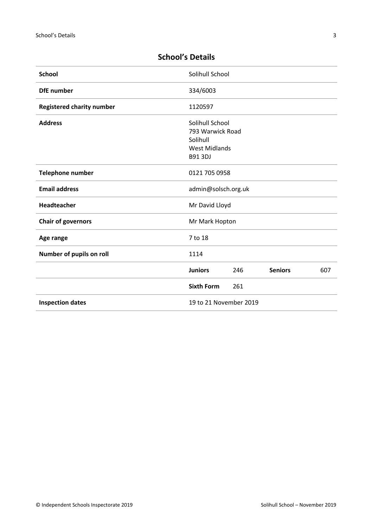| <b>School</b>                    | Solihull School                                                                           |     |                |     |
|----------------------------------|-------------------------------------------------------------------------------------------|-----|----------------|-----|
| <b>DfE</b> number                | 334/6003                                                                                  |     |                |     |
| <b>Registered charity number</b> | 1120597                                                                                   |     |                |     |
| <b>Address</b>                   | Solihull School<br>793 Warwick Road<br>Solihull<br><b>West Midlands</b><br><b>B91 3DJ</b> |     |                |     |
| Telephone number                 | 0121 705 0958                                                                             |     |                |     |
| <b>Email address</b>             | admin@solsch.org.uk                                                                       |     |                |     |
| <b>Headteacher</b>               | Mr David Lloyd                                                                            |     |                |     |
| <b>Chair of governors</b>        | Mr Mark Hopton                                                                            |     |                |     |
| Age range                        | 7 to 18                                                                                   |     |                |     |
| Number of pupils on roll         | 1114                                                                                      |     |                |     |
|                                  | <b>Juniors</b>                                                                            | 246 | <b>Seniors</b> | 607 |
|                                  | <b>Sixth Form</b>                                                                         | 261 |                |     |
| <b>Inspection dates</b>          | 19 to 21 November 2019                                                                    |     |                |     |

# <span id="page-2-0"></span>**School's Details**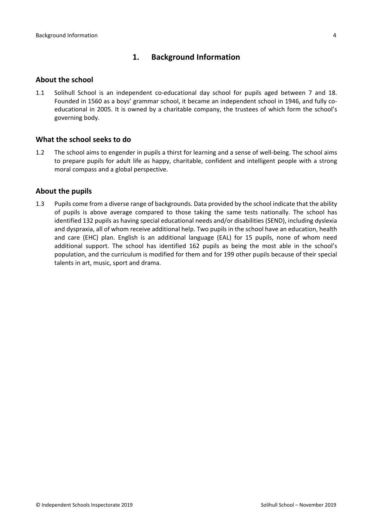# <span id="page-3-0"></span>**1. Background Information**

#### <span id="page-3-1"></span>**About the school**

1.1 Solihull School is an independent co-educational day school for pupils aged between 7 and 18. Founded in 1560 as a boys' grammar school, it became an independent school in 1946, and fully coeducational in 2005. It is owned by a charitable company, the trustees of which form the school's governing body.

#### <span id="page-3-2"></span>**What the school seeks to do**

1.2 The school aims to engender in pupils a thirst for learning and a sense of well-being. The school aims to prepare pupils for adult life as happy, charitable, confident and intelligent people with a strong moral compass and a global perspective.

#### <span id="page-3-3"></span>**About the pupils**

1.3 Pupils come from a diverse range of backgrounds. Data provided by the school indicate that the ability of pupils is above average compared to those taking the same tests nationally. The school has identified 132 pupils as having special educational needs and/or disabilities (SEND), including dyslexia and dyspraxia, all of whom receive additional help. Two pupils in the school have an education, health and care (EHC) plan. English is an additional language (EAL) for 15 pupils, none of whom need additional support. The school has identified 162 pupils as being the most able in the school's population, and the curriculum is modified for them and for 199 other pupils because of their special talents in art, music, sport and drama.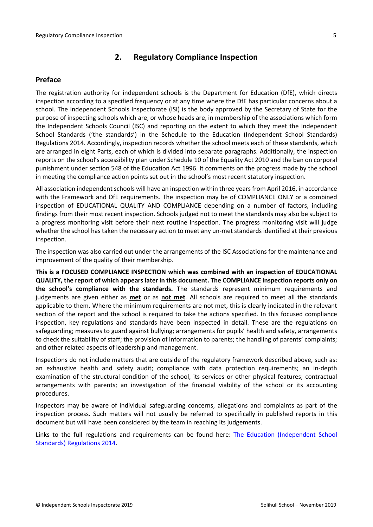# <span id="page-4-0"></span>**2. Regulatory Compliance Inspection**

# <span id="page-4-1"></span>**Preface**

The registration authority for independent schools is the Department for Education (DfE), which directs inspection according to a specified frequency or at any time where the DfE has particular concerns about a school. The Independent Schools Inspectorate (ISI) is the body approved by the Secretary of State for the purpose of inspecting schools which are, or whose heads are, in membership of the associations which form the Independent Schools Council (ISC) and reporting on the extent to which they meet the Independent School Standards ('the standards') in the Schedule to the Education (Independent School Standards) Regulations 2014. Accordingly, inspection records whether the school meets each of these standards, which are arranged in eight Parts, each of which is divided into separate paragraphs. Additionally, the inspection reports on the school's accessibility plan under Schedule 10 of the Equality Act 2010 and the ban on corporal punishment under section 548 of the Education Act 1996. It comments on the progress made by the school in meeting the compliance action points set out in the school's most recent statutory inspection.

All association independent schools will have an inspection within three yearsfrom April 2016, in accordance with the Framework and DfE requirements. The inspection may be of COMPLIANCE ONLY or a combined inspection of EDUCATIONAL QUALITY AND COMPLIANCE depending on a number of factors, including findings from their most recent inspection. Schools judged not to meet the standards may also be subject to a progress monitoring visit before their next routine inspection. The progress monitoring visit will judge whether the school has taken the necessary action to meet any un-met standards identified at their previous inspection.

The inspection was also carried out under the arrangements of the ISC Associations for the maintenance and improvement of the quality of their membership.

**This is a FOCUSED COMPLIANCE INSPECTION which was combined with an inspection of EDUCATIONAL QUALITY, the report of which appears later in this document. The COMPLIANCE inspection reports only on the school's compliance with the standards.** The standards represent minimum requirements and judgements are given either as **met** or as **not met**. All schools are required to meet all the standards applicable to them. Where the minimum requirements are not met, this is clearly indicated in the relevant section of the report and the school is required to take the actions specified. In this focused compliance inspection, key regulations and standards have been inspected in detail. These are the regulations on safeguarding; measures to guard against bullying; arrangements for pupils' health and safety, arrangements to check the suitability of staff; the provision of information to parents; the handling of parents' complaints; and other related aspects of leadership and management.

Inspections do not include matters that are outside of the regulatory framework described above, such as: an exhaustive health and safety audit; compliance with data protection requirements; an in-depth examination of the structural condition of the school, its services or other physical features; contractual arrangements with parents; an investigation of the financial viability of the school or its accounting procedures.

Inspectors may be aware of individual safeguarding concerns, allegations and complaints as part of the inspection process. Such matters will not usually be referred to specifically in published reports in this document but will have been considered by the team in reaching its judgements.

Links to the full regulations and requirements can be found here: The Education [\(Independent](http://www.legislation.gov.uk/uksi/2014/3283/contents/made) School Standards) [Regulations](http://www.legislation.gov.uk/uksi/2014/3283/contents/made) 2014.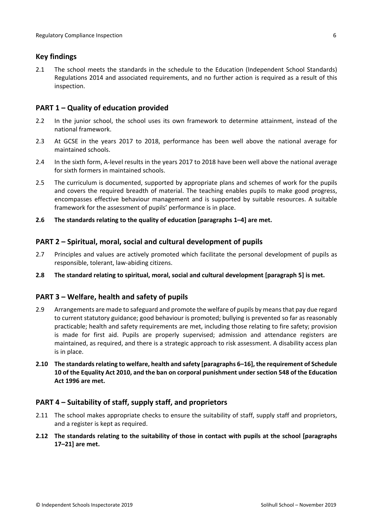# <span id="page-5-0"></span>**Key findings**

2.1 The school meets the standards in the schedule to the Education (Independent School Standards) Regulations 2014 and associated requirements, and no further action is required as a result of this inspection.

### <span id="page-5-1"></span>**PART 1 – Quality of education provided**

- 2.2 In the junior school, the school uses its own framework to determine attainment, instead of the national framework.
- 2.3 At GCSE in the years 2017 to 2018, performance has been well above the national average for maintained schools.
- 2.4 In the sixth form, A-level results in the years 2017 to 2018 have been well above the national average for sixth formers in maintained schools.
- 2.5 The curriculum is documented, supported by appropriate plans and schemes of work for the pupils and covers the required breadth of material. The teaching enables pupils to make good progress, encompasses effective behaviour management and is supported by suitable resources. A suitable framework for the assessment of pupils' performance is in place.
- **2.6 The standards relating to the quality of education [paragraphs 1–4] are met.**

#### <span id="page-5-2"></span>**PART 2 – Spiritual, moral, social and cultural development of pupils**

- 2.7 Principles and values are actively promoted which facilitate the personal development of pupils as responsible, tolerant, law-abiding citizens.
- **2.8 The standard relating to spiritual, moral, social and cultural development [paragraph 5] is met.**

#### <span id="page-5-3"></span>**PART 3 – Welfare, health and safety of pupils**

- 2.9 Arrangements are made to safeguard and promote the welfare of pupils by meansthat pay due regard to current statutory guidance; good behaviour is promoted; bullying is prevented so far as reasonably practicable; health and safety requirements are met, including those relating to fire safety; provision is made for first aid. Pupils are properly supervised; admission and attendance registers are maintained, as required, and there is a strategic approach to risk assessment. A disability access plan is in place.
- **2.10 The standardsrelating to welfare, health and safety [paragraphs 6–16], the requirement of Schedule 10 of the Equality Act 2010, and the ban on corporal punishment undersection 548 of the Education Act 1996 are met.**

#### <span id="page-5-4"></span>**PART 4 – Suitability of staff, supply staff, and proprietors**

- 2.11 The school makes appropriate checks to ensure the suitability of staff, supply staff and proprietors, and a register is kept as required.
- **2.12 The standards relating to the suitability of those in contact with pupils at the school [paragraphs 17–21] are met.**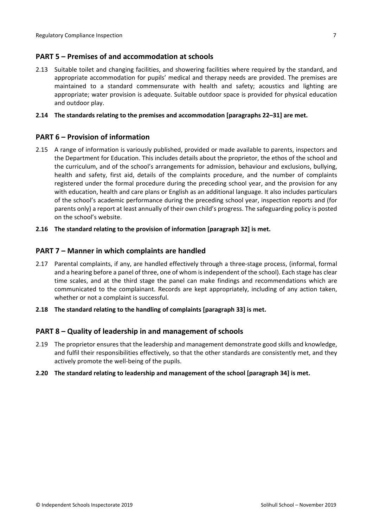### <span id="page-6-0"></span>**PART 5 – Premises of and accommodation at schools**

2.13 Suitable toilet and changing facilities, and showering facilities where required by the standard, and appropriate accommodation for pupils' medical and therapy needs are provided. The premises are maintained to a standard commensurate with health and safety; acoustics and lighting are appropriate; water provision is adequate. Suitable outdoor space is provided for physical education and outdoor play.

#### **2.14 The standards relating to the premises and accommodation [paragraphs 22–31] are met.**

#### <span id="page-6-1"></span>**PART 6 – Provision of information**

- 2.15 A range of information is variously published, provided or made available to parents, inspectors and the Department for Education. This includes details about the proprietor, the ethos of the school and the curriculum, and of the school's arrangements for admission, behaviour and exclusions, bullying, health and safety, first aid, details of the complaints procedure, and the number of complaints registered under the formal procedure during the preceding school year, and the provision for any with education, health and care plans or English as an additional language. It also includes particulars of the school's academic performance during the preceding school year, inspection reports and (for parents only) a report at least annually of their own child's progress. The safeguarding policy is posted on the school's website.
- **2.16 The standard relating to the provision of information [paragraph 32] is met.**

#### <span id="page-6-2"></span>**PART 7 – Manner in which complaints are handled**

- 2.17 Parental complaints, if any, are handled effectively through a three-stage process, (informal, formal and a hearing before a panel of three, one of whom is independent of the school). Each stage has clear time scales, and at the third stage the panel can make findings and recommendations which are communicated to the complainant. Records are kept appropriately, including of any action taken, whether or not a complaint is successful.
- **2.18 The standard relating to the handling of complaints [paragraph 33] is met.**

#### <span id="page-6-3"></span>**PART 8 – Quality of leadership in and management of schools**

- 2.19 The proprietor ensures that the leadership and management demonstrate good skills and knowledge, and fulfil their responsibilities effectively, so that the other standards are consistently met, and they actively promote the well-being of the pupils.
- **2.20 The standard relating to leadership and management of the school [paragraph 34] is met.**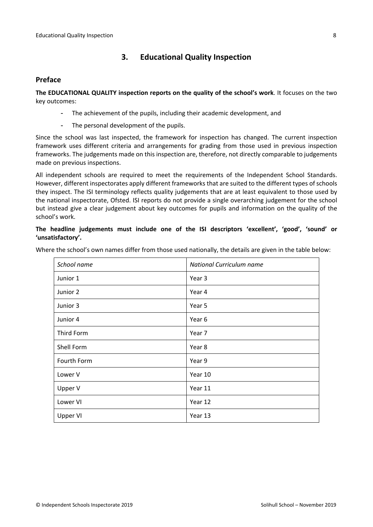# <span id="page-7-0"></span>**3. Educational Quality Inspection**

#### <span id="page-7-1"></span>**Preface**

**The EDUCATIONAL QUALITY inspection reports on the quality of the school's work**. It focuses on the two key outcomes:

- The achievement of the pupils, including their academic development, and
- The personal development of the pupils.

Since the school was last inspected, the framework for inspection has changed. The current inspection framework uses different criteria and arrangements for grading from those used in previous inspection frameworks. The judgements made on this inspection are, therefore, not directly comparable to judgements made on previous inspections.

All independent schools are required to meet the requirements of the Independent School Standards. However, different inspectorates apply different frameworks that are suited to the different types of schools they inspect. The ISI terminology reflects quality judgements that are at least equivalent to those used by the national inspectorate, Ofsted. ISI reports do not provide a single overarching judgement for the school but instead give a clear judgement about key outcomes for pupils and information on the quality of the school's work.

#### **The headline judgements must include one of the ISI descriptors 'excellent', 'good', 'sound' or 'unsatisfactory'.**

Where the school's own names differ from those used nationally, the details are given in the table below:

| School name | National Curriculum name |  |
|-------------|--------------------------|--|
| Junior 1    | Year 3                   |  |
| Junior 2    | Year 4                   |  |
| Junior 3    | Year 5                   |  |
| Junior 4    | Year 6                   |  |
| Third Form  | Year 7                   |  |
| Shell Form  | Year 8                   |  |
| Fourth Form | Year 9                   |  |
| Lower V     | Year 10                  |  |
| Upper V     | Year 11                  |  |
| Lower VI    | Year 12                  |  |
| Upper VI    | Year 13                  |  |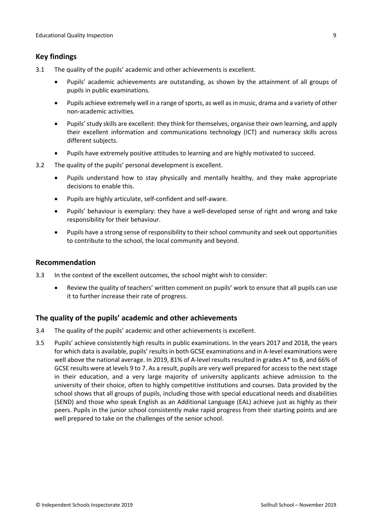# <span id="page-8-0"></span>**Key findings**

- 3.1 The quality of the pupils' academic and other achievements is excellent.
	- Pupils' academic achievements are outstanding, as shown by the attainment of all groups of pupils in public examinations.
	- Pupils achieve extremely well in a range of sports, as well as in music, drama and a variety of other non-academic activities.
	- Pupils' study skills are excellent: they think for themselves, organise their own learning, and apply their excellent information and communications technology (ICT) and numeracy skills across different subjects.
	- Pupils have extremely positive attitudes to learning and are highly motivated to succeed.
- 3.2 The quality of the pupils' personal development is excellent.
	- Pupils understand how to stay physically and mentally healthy, and they make appropriate decisions to enable this.
	- Pupils are highly articulate, self-confident and self-aware.
	- Pupils' behaviour is exemplary: they have a well-developed sense of right and wrong and take responsibility for their behaviour.
	- Pupils have a strong sense of responsibility to their school community and seek out opportunities to contribute to the school, the local community and beyond.

#### <span id="page-8-1"></span>**Recommendation**

- 3.3 In the context of the excellent outcomes, the school might wish to consider:
	- Review the quality of teachers' written comment on pupils' work to ensure that all pupils can use it to further increase their rate of progress.

#### <span id="page-8-2"></span>**The quality of the pupils' academic and other achievements**

- 3.4 The quality of the pupils' academic and other achievements is excellent.
- 3.5 Pupils' achieve consistently high results in public examinations. In the years 2017 and 2018, the years for which data is available, pupils' results in both GCSE examinations and in A-level examinations were well above the national average. In 2019, 81% of A-level results resulted in grades A\* to B, and 66% of GCSE results were at levels 9 to 7. As a result, pupils are very well prepared for access to the next stage in their education, and a very large majority of university applicants achieve admission to the university of their choice, often to highly competitive institutions and courses. Data provided by the school shows that all groups of pupils, including those with special educational needs and disabilities (SEND) and those who speak English as an Additional Language (EAL) achieve just as highly as their peers. Pupils in the junior school consistently make rapid progress from their starting points and are well prepared to take on the challenges of the senior school.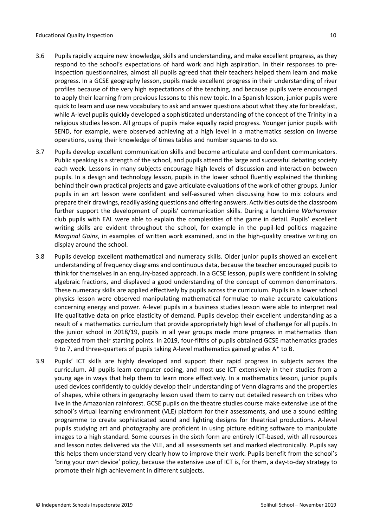- 3.6 Pupils rapidly acquire new knowledge, skills and understanding, and make excellent progress, as they respond to the school's expectations of hard work and high aspiration. In their responses to preinspection questionnaires, almost all pupils agreed that their teachers helped them learn and make progress. In a GCSE geography lesson, pupils made excellent progress in their understanding of river profiles because of the very high expectations of the teaching, and because pupils were encouraged to apply their learning from previous lessons to this new topic. In a Spanish lesson, junior pupils were quick to learn and use new vocabulary to ask and answer questions about what they ate for breakfast, while A-level pupils quickly developed a sophisticated understanding of the concept of the Trinity in a religious studies lesson. All groups of pupils make equally rapid progress. Younger junior pupils with SEND, for example, were observed achieving at a high level in a mathematics session on inverse operations, using their knowledge of times tables and number squares to do so.
- 3.7 Pupils develop excellent communication skills and become articulate and confident communicators. Public speaking is a strength of the school, and pupils attend the large and successful debating society each week. Lessons in many subjects encourage high levels of discussion and interaction between pupils. In a design and technology lesson, pupils in the lower school fluently explained the thinking behind their own practical projects and gave articulate evaluations of the work of other groups. Junior pupils in an art lesson were confident and self-assured when discussing how to mix colours and prepare their drawings, readily asking questions and offering answers. Activities outside the classroom further support the development of pupils' communication skills. During a lunchtime *Warhammer* club pupils with EAL were able to explain the complexities of the game in detail. Pupils' excellent writing skills are evident throughout the school, for example in the pupil-led politics magazine *Marginal Gains*, in examples of written work examined, and in the high-quality creative writing on display around the school.
- 3.8 Pupils develop excellent mathematical and numeracy skills. Older junior pupils showed an excellent understanding of frequency diagrams and continuous data, because the teacher encouraged pupils to think for themselves in an enquiry-based approach. In a GCSE lesson, pupils were confident in solving algebraic fractions, and displayed a good understanding of the concept of common denominators. These numeracy skills are applied effectively by pupils across the curriculum. Pupils in a lower school physics lesson were observed manipulating mathematical formulae to make accurate calculations concerning energy and power. A-level pupils in a business studies lesson were able to interpret real life qualitative data on price elasticity of demand. Pupils develop their excellent understanding as a result of a mathematics curriculum that provide appropriately high level of challenge for all pupils. In the junior school in 2018/19, pupils in all year groups made more progress in mathematics than expected from their starting points. In 2019, four-fifths of pupils obtained GCSE mathematics grades 9 to 7, and three-quarters of pupils taking A-level mathematics gained grades A\* to B.
- 3.9 Pupils' ICT skills are highly developed and support their rapid progress in subjects across the curriculum. All pupils learn computer coding, and most use ICT extensively in their studies from a young age in ways that help them to learn more effectively. In a mathematics lesson, junior pupils used devices confidently to quickly develop their understanding of Venn diagrams and the properties of shapes, while others in geography lesson used them to carry out detailed research on tribes who live in the Amazonian rainforest. GCSE pupils on the theatre studies course make extensive use of the school's virtual learning environment (VLE) platform for their assessments, and use a sound editing programme to create sophisticated sound and lighting designs for theatrical productions. A-level pupils studying art and photography are proficient in using picture editing software to manipulate images to a high standard. Some courses in the sixth form are entirely ICT-based, with all resources and lesson notes delivered via the VLE, and all assessments set and marked electronically. Pupils say this helps them understand very clearly how to improve their work. Pupils benefit from the school's 'bring your own device' policy, because the extensive use of ICT is, for them, a day-to-day strategy to promote their high achievement in different subjects.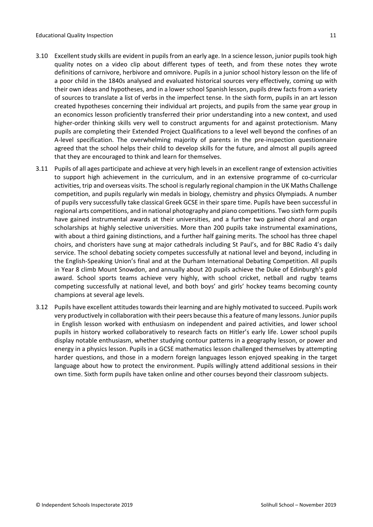- 3.10 Excellent study skills are evident in pupils from an early age. In a science lesson, junior pupils took high quality notes on a video clip about different types of teeth, and from these notes they wrote definitions of carnivore, herbivore and omnivore. Pupils in a junior school history lesson on the life of a poor child in the 1840s analysed and evaluated historical sources very effectively, coming up with their own ideas and hypotheses, and in a lower school Spanish lesson, pupils drew facts from a variety of sources to translate a list of verbs in the imperfect tense. In the sixth form, pupils in an art lesson created hypotheses concerning their individual art projects, and pupils from the same year group in an economics lesson proficiently transferred their prior understanding into a new context, and used higher-order thinking skills very well to construct arguments for and against protectionism. Many pupils are completing their Extended Project Qualifications to a level well beyond the confines of an A-level specification. The overwhelming majority of parents in the pre-inspection questionnaire agreed that the school helps their child to develop skills for the future, and almost all pupils agreed that they are encouraged to think and learn for themselves.
- 3.11 Pupils of all ages participate and achieve at very high levelsin an excellent range of extension activities to support high achievement in the curriculum, and in an extensive programme of co-curricular activities, trip and overseas visits. The school is regularly regional champion in the UK Maths Challenge competition, and pupils regularly win medals in biology, chemistry and physics Olympiads. A number of pupils very successfully take classical Greek GCSE in their spare time. Pupils have been successful in regional arts competitions, and in national photography and piano competitions. Two sixth form pupils have gained instrumental awards at their universities, and a further two gained choral and organ scholarships at highly selective universities. More than 200 pupils take instrumental examinations, with about a third gaining distinctions, and a further half gaining merits. The school has three chapel choirs, and choristers have sung at major cathedrals including St Paul's, and for BBC Radio 4's daily service. The school debating society competes successfully at national level and beyond, including in the English-Speaking Union's final and at the Durham International Debating Competition. All pupils in Year 8 climb Mount Snowdon, and annually about 20 pupils achieve the Duke of Edinburgh's gold award. School sports teams achieve very highly, with school cricket, netball and rugby teams competing successfully at national level, and both boys' and girls' hockey teams becoming county champions at several age levels.
- 3.12 Pupils have excellent attitudes towards their learning and are highly motivated to succeed. Pupils work very productively in collaboration with their peers because this a feature of many lessons. Junior pupils in English lesson worked with enthusiasm on independent and paired activities, and lower school pupils in history worked collaboratively to research facts on Hitler's early life. Lower school pupils display notable enthusiasm, whether studying contour patterns in a geography lesson, or power and energy in a physics lesson. Pupils in a GCSE mathematics lesson challenged themselves by attempting harder questions, and those in a modern foreign languages lesson enjoyed speaking in the target language about how to protect the environment. Pupils willingly attend additional sessions in their own time. Sixth form pupils have taken online and other courses beyond their classroom subjects.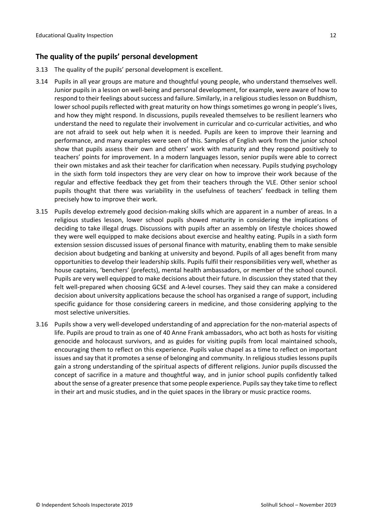# <span id="page-11-0"></span>**The quality of the pupils' personal development**

- 3.13 The quality of the pupils' personal development is excellent.
- 3.14 Pupils in all year groups are mature and thoughtful young people, who understand themselves well. Junior pupils in a lesson on well-being and personal development, for example, were aware of how to respond to their feelings about success and failure. Similarly, in a religious studies lesson on Buddhism, lower school pupils reflected with great maturity on how things sometimes go wrong in people's lives, and how they might respond. In discussions, pupils revealed themselves to be resilient learners who understand the need to regulate their involvement in curricular and co-curricular activities, and who are not afraid to seek out help when it is needed. Pupils are keen to improve their learning and performance, and many examples were seen of this. Samples of English work from the junior school show that pupils assess their own and others' work with maturity and they respond positively to teachers' points for improvement. In a modern languages lesson, senior pupils were able to correct their own mistakes and ask their teacher for clarification when necessary. Pupils studying psychology in the sixth form told inspectors they are very clear on how to improve their work because of the regular and effective feedback they get from their teachers through the VLE. Other senior school pupils thought that there was variability in the usefulness of teachers' feedback in telling them precisely how to improve their work.
- 3.15 Pupils develop extremely good decision-making skills which are apparent in a number of areas. In a religious studies lesson, lower school pupils showed maturity in considering the implications of deciding to take illegal drugs. Discussions with pupils after an assembly on lifestyle choices showed they were well equipped to make decisions about exercise and healthy eating. Pupils in a sixth form extension session discussed issues of personal finance with maturity, enabling them to make sensible decision about budgeting and banking at university and beyond. Pupils of all ages benefit from many opportunities to develop their leadership skills. Pupils fulfil their responsibilities very well, whether as house captains, 'benchers' (prefects), mental health ambassadors, or member of the school council. Pupils are very well equipped to make decisions about their future. In discussion they stated that they felt well-prepared when choosing GCSE and A-level courses. They said they can make a considered decision about university applications because the school has organised a range of support, including specific guidance for those considering careers in medicine, and those considering applying to the most selective universities.
- 3.16 Pupils show a very well-developed understanding of and appreciation for the non-material aspects of life. Pupils are proud to train as one of 40 Anne Frank ambassadors, who act both as hosts for visiting genocide and holocaust survivors, and as guides for visiting pupils from local maintained schools, encouraging them to reflect on this experience. Pupils value chapel as a time to reflect on important issues and say that it promotes a sense of belonging and community. In religious studies lessons pupils gain a strong understanding of the spiritual aspects of different religions. Junior pupils discussed the concept of sacrifice in a mature and thoughtful way, and in junior school pupils confidently talked about the sense of a greater presence that some people experience. Pupils say they take time to reflect in their art and music studies, and in the quiet spaces in the library or music practice rooms.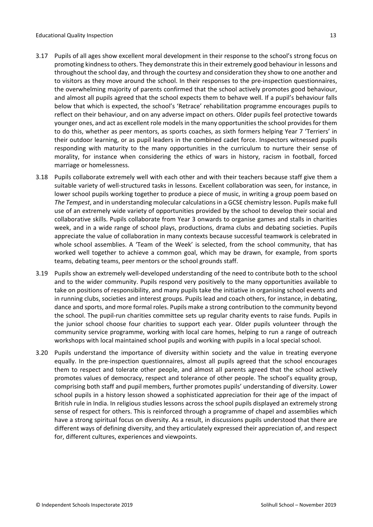- 3.17 Pupils of all ages show excellent moral development in their response to the school's strong focus on promoting kindness to others. They demonstrate this in their extremely good behaviour in lessons and throughout the school day, and through the courtesy and consideration they show to one another and to visitors as they move around the school. In their responses to the pre-inspection questionnaires, the overwhelming majority of parents confirmed that the school actively promotes good behaviour, and almost all pupils agreed that the school expects them to behave well. If a pupil's behaviour falls below that which is expected, the school's 'Retrace' rehabilitation programme encourages pupils to reflect on their behaviour, and on any adverse impact on others. Older pupils feel protective towards younger ones, and act as excellent role models in the many opportunities the school provides for them to do this, whether as peer mentors, as sports coaches, as sixth formers helping Year 7 'Terriers' in their outdoor learning, or as pupil leaders in the combined cadet force. Inspectors witnessed pupils responding with maturity to the many opportunities in the curriculum to nurture their sense of morality, for instance when considering the ethics of wars in history, racism in football, forced marriage or homelessness.
- 3.18 Pupils collaborate extremely well with each other and with their teachers because staff give them a suitable variety of well-structured tasks in lessons. Excellent collaboration was seen, for instance, in lower school pupils working together to produce a piece of music, in writing a group poem based on *The Tempest*, and in understanding molecular calculations in a GCSE chemistry lesson. Pupils make full use of an extremely wide variety of opportunities provided by the school to develop their social and collaborative skills. Pupils collaborate from Year 3 onwards to organise games and stalls in charities week, and in a wide range of school plays, productions, drama clubs and debating societies. Pupils appreciate the value of collaboration in many contexts because successful teamwork is celebrated in whole school assemblies. A 'Team of the Week' is selected, from the school community, that has worked well together to achieve a common goal, which may be drawn, for example, from sports teams, debating teams, peer mentors or the school grounds staff.
- 3.19 Pupils show an extremely well-developed understanding of the need to contribute both to the school and to the wider community. Pupils respond very positively to the many opportunities available to take on positions of responsibility, and many pupils take the initiative in organising school events and in running clubs, societies and interest groups. Pupils lead and coach others, for instance, in debating, dance and sports, and more formal roles. Pupils make a strong contribution to the community beyond the school. The pupil-run charities committee sets up regular charity events to raise funds. Pupils in the junior school choose four charities to support each year. Older pupils volunteer through the community service programme, working with local care homes, helping to run a range of outreach workshops with local maintained school pupils and working with pupils in a local special school.
- 3.20 Pupils understand the importance of diversity within society and the value in treating everyone equally. In the pre-inspection questionnaires, almost all pupils agreed that the school encourages them to respect and tolerate other people, and almost all parents agreed that the school actively promotes values of democracy, respect and tolerance of other people. The school's equality group, comprising both staff and pupil members, further promotes pupils' understanding of diversity. Lower school pupils in a history lesson showed a sophisticated appreciation for their age of the impact of British rule in India. In religious studies lessons across the school pupils displayed an extremely strong sense of respect for others. This is reinforced through a programme of chapel and assemblies which have a strong spiritual focus on diversity. As a result, in discussions pupils understood that there are different ways of defining diversity, and they articulately expressed their appreciation of, and respect for, different cultures, experiences and viewpoints.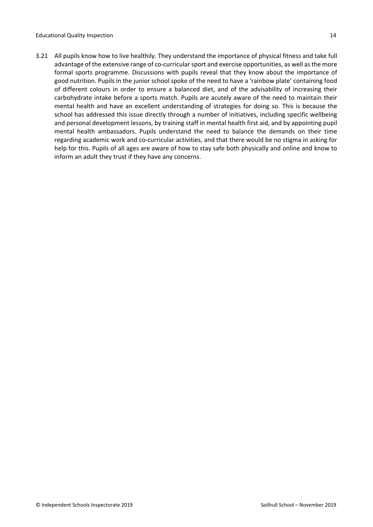3.21 All pupils know how to live healthily. They understand the importance of physical fitness and take full advantage of the extensive range of co-curricular sport and exercise opportunities, as well as the more formal sports programme. Discussions with pupils reveal that they know about the importance of good nutrition. Pupils in the junior school spoke of the need to have a 'rainbow plate' containing food of different colours in order to ensure a balanced diet, and of the advisability of increasing their carbohydrate intake before a sports match. Pupils are acutely aware of the need to maintain their mental health and have an excellent understanding of strategies for doing so. This is because the school has addressed this issue directly through a number of initiatives, including specific wellbeing and personal development lessons, by training staff in mental health first aid, and by appointing pupil mental health ambassadors. Pupils understand the need to balance the demands on their time regarding academic work and co-curricular activities, and that there would be no stigma in asking for help for this. Pupils of all ages are aware of how to stay safe both physically and online and know to inform an adult they trust if they have any concerns.